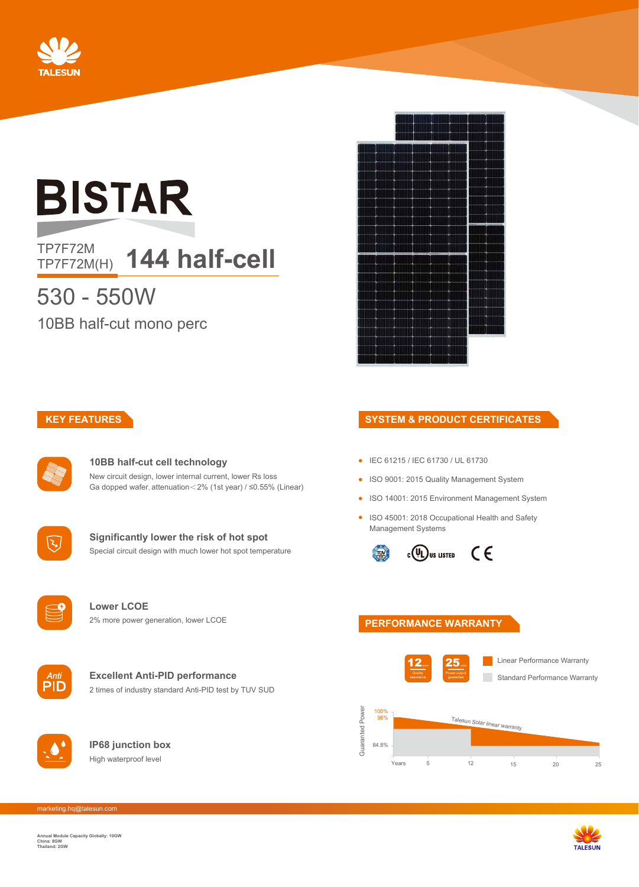

# **BISTAR**

## TP7F72M<br>TP7F72M(H) **144 half-cell**

## 530 - 550W

10BB half-cut mono perc



## **KEY FEATURES**



#### **10BB half-cut cell technology** New circuit design, lower internal current, lower Rs loss Ga dopped wafer, attenuation<2% (1st year) / ≤0.55% (Linear)



**Significantly lower the risk of hot spot** Special circuit design with much lower hot spot temperature

#### **Lower LCOE** 2% more power generation, lower LCOE



#### **Excellent Anti-PID performance** 2 times of industry standard Anti-PID test by TUV SUD



**IP68 junction box** High waterproof level

#### **SYSTEM & PRODUCT CERTIFICATES**

- IEC 61215 / IEC 61730 / UL 61730
- ISO 9001: 2015 Quality Management System
- ISO 14001: 2015 Environment Management System
- ISO 45001: 2018 Occupational Health and Safety Management Systems



## **PERFORMANCE WARRANTY**





marketing.hq@talesun.com